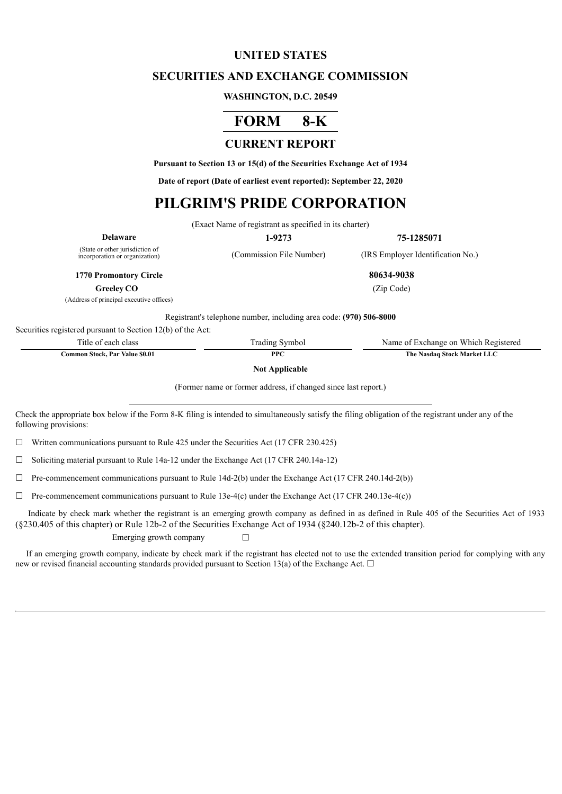## **UNITED STATES**

## **SECURITIES AND EXCHANGE COMMISSION**

#### **WASHINGTON, D.C. 20549**

# **FORM 8-K**

## **CURRENT REPORT**

**Pursuant to Section 13 or 15(d) of the Securities Exchange Act of 1934**

**Date of report (Date of earliest event reported): September 22, 2020**

## **PILGRIM'S PRIDE CORPORATION**

(Exact Name of registrant as specified in its charter)

**Delaware 1-9273 75-1285071**

(State or other jurisdiction of<br>incorporation or organization)

(Commission File Number) (IRS Employer Identification No.)

**1770 Promontory Circle 80634-9038**

**Greeley CO** (Zip Code)

(Address of principal executive offices)

Registrant's telephone number, including area code: **(970) 506-8000**

Securities registered pursuant to Section 12(b) of the Act:

| Title of each class            | Trading Symbol | Name of Exchange on Which Registered |
|--------------------------------|----------------|--------------------------------------|
| Common Stock. Par Value \$0.01 | PPC            | The Nasdag Stock Market LLC          |

**Not Applicable**

(Former name or former address, if changed since last report.)

Check the appropriate box below if the Form 8-K filing is intended to simultaneously satisfy the filing obligation of the registrant under any of the following provisions:

 $\Box$  Written communications pursuant to Rule 425 under the Securities Act (17 CFR 230.425)

 $\Box$  Soliciting material pursuant to Rule 14a-12 under the Exchange Act (17 CFR 240.14a-12)

 $\Box$  Pre-commencement communications pursuant to Rule 14d-2(b) under the Exchange Act (17 CFR 240.14d-2(b))

 $\Box$  Pre-commencement communications pursuant to Rule 13e-4(c) under the Exchange Act (17 CFR 240.13e-4(c))

Indicate by check mark whether the registrant is an emerging growth company as defined in as defined in Rule 405 of the Securities Act of 1933 (§230.405 of this chapter) or Rule 12b-2 of the Securities Exchange Act of 1934 (§240.12b-2 of this chapter).

Emerging growth company  $\Box$ 

If an emerging growth company, indicate by check mark if the registrant has elected not to use the extended transition period for complying with any new or revised financial accounting standards provided pursuant to Section 13(a) of the Exchange Act.  $\Box$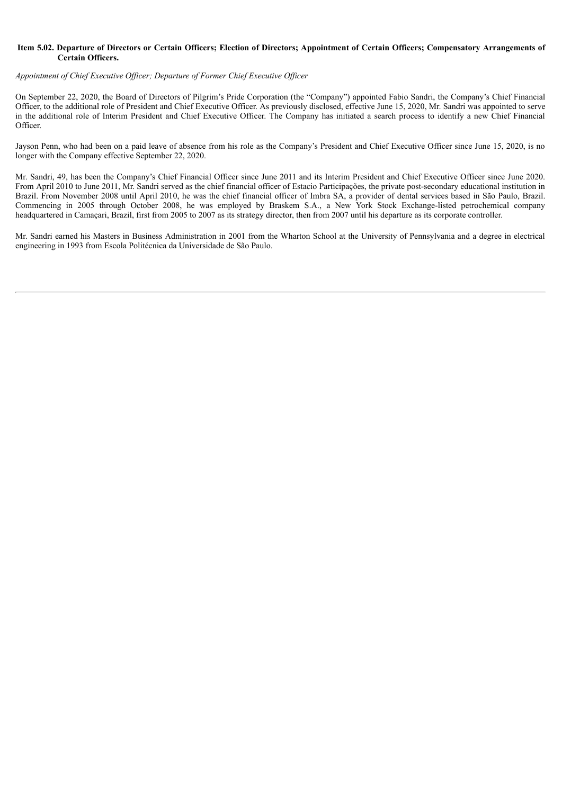#### Item 5.02. Departure of Directors or Certain Officers; Election of Directors; Appointment of Certain Officers; Compensatory Arrangements of **Certain Officers.**

#### *Appointment of Chief Executive Of icer; Departure of Former Chief Executive Of icer*

On September 22, 2020, the Board of Directors of Pilgrim's Pride Corporation (the "Company") appointed Fabio Sandri, the Company's Chief Financial Officer, to the additional role of President and Chief Executive Officer. As previously disclosed, effective June 15, 2020, Mr. Sandri was appointed to serve in the additional role of Interim President and Chief Executive Officer. The Company has initiated a search process to identify a new Chief Financial Officer.

Jayson Penn, who had been on a paid leave of absence from his role as the Company's President and Chief Executive Officer since June 15, 2020, is no longer with the Company effective September 22, 2020.

Mr. Sandri, 49, has been the Company's Chief Financial Officer since June 2011 and its Interim President and Chief Executive Officer since June 2020. From April 2010 to June 2011, Mr. Sandri served as the chief financial officer of Estacio Participações, the private post-secondary educational institution in Brazil. From November 2008 until April 2010, he was the chief financial officer of Imbra SA, a provider of dental services based in São Paulo, Brazil. Commencing in 2005 through October 2008, he was employed by Braskem S.A., a New York Stock Exchange-listed petrochemical company headquartered in Camaçari, Brazil, first from 2005 to 2007 as its strategy director, then from 2007 until his departure as its corporate controller.

Mr. Sandri earned his Masters in Business Administration in 2001 from the Wharton School at the University of Pennsylvania and a degree in electrical engineering in 1993 from Escola Politécnica da Universidade de São Paulo.